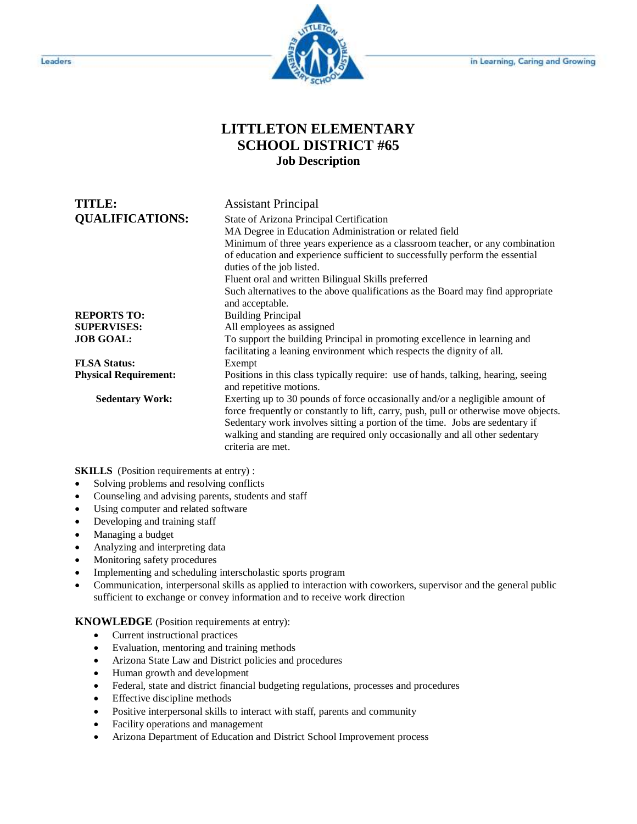

## **LITTLETON ELEMENTARY SCHOOL DISTRICT #65 Job Description**

| TITLE:<br><b>QUALIFICATIONS:</b> | <b>Assistant Principal</b><br>State of Arizona Principal Certification<br>MA Degree in Education Administration or related field<br>Minimum of three years experience as a classroom teacher, or any combination<br>of education and experience sufficient to successfully perform the essential<br>duties of the job listed.<br>Fluent oral and written Bilingual Skills preferred |
|----------------------------------|-------------------------------------------------------------------------------------------------------------------------------------------------------------------------------------------------------------------------------------------------------------------------------------------------------------------------------------------------------------------------------------|
|                                  | Such alternatives to the above qualifications as the Board may find appropriate<br>and acceptable.                                                                                                                                                                                                                                                                                  |
| <b>REPORTS TO:</b>               | <b>Building Principal</b>                                                                                                                                                                                                                                                                                                                                                           |
| <b>SUPERVISES:</b>               | All employees as assigned                                                                                                                                                                                                                                                                                                                                                           |
| <b>JOB GOAL:</b>                 | To support the building Principal in promoting excellence in learning and<br>facilitating a leaning environment which respects the dignity of all.                                                                                                                                                                                                                                  |
| <b>FLSA Status:</b>              | Exempt                                                                                                                                                                                                                                                                                                                                                                              |
| <b>Physical Requirement:</b>     | Positions in this class typically require: use of hands, talking, hearing, seeing<br>and repetitive motions.                                                                                                                                                                                                                                                                        |
| <b>Sedentary Work:</b>           | Exerting up to 30 pounds of force occasionally and/or a negligible amount of<br>force frequently or constantly to lift, carry, push, pull or otherwise move objects.<br>Sedentary work involves sitting a portion of the time. Jobs are sedentary if<br>walking and standing are required only occasionally and all other sedentary<br>criteria are met.                            |

**SKILLS** (Position requirements at entry) :

- Solving problems and resolving conflicts
- Counseling and advising parents, students and staff
- Using computer and related software
- Developing and training staff
- Managing a budget
- Analyzing and interpreting data
- Monitoring safety procedures
- Implementing and scheduling interscholastic sports program
- Communication, interpersonal skills as applied to interaction with coworkers, supervisor and the general public sufficient to exchange or convey information and to receive work direction

**KNOWLEDGE** (Position requirements at entry):

- Current instructional practices
- Evaluation, mentoring and training methods
- Arizona State Law and District policies and procedures
- Human growth and development
- Federal, state and district financial budgeting regulations, processes and procedures
- Effective discipline methods
- Positive interpersonal skills to interact with staff, parents and community
- Facility operations and management
- Arizona Department of Education and District School Improvement process